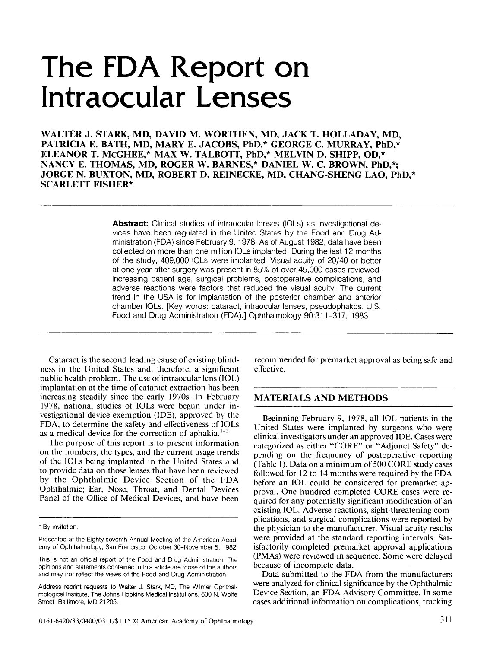# **The FDA Report on Intraocular Lenses**

WALTER J. STARK, MD, DAVID M. WORTHEN, MD, JACK T. HOLLADAY, MD, PATRICIA E. BATH, MD, MARY E. JACOBS, PhD,\* GEORGE C. MURRAY, PhD,\* ELEANOR T. McGHEE,\* MAX W. TALBOTT, PhD,\* MELVIN D. SHIPP, OD,\* NANCY E. THOMAS, MD, ROGER W. BARNES,\* DANIEL W. C. BROWN, PhD,\*; JORGE N. BUXTON, MD, ROBERT D. REINECKE, MD, CHANG-SHENG LAO, PhD,\* SCARLETT FISHER\*

> Abstract: Clinical studies of intraocular lenses (IOLs) as investigational devices have been regulated in the United States by the Food and Drug Administration (FDA) since February 9, 1978. As of August 1982, data have been collected on more than one million IOls implanted. During the last 12 months of the study, 409,000 IOls were implanted. Visual acuity of 20/40 or better at one year after surgery was present in 85% of over 45,000 cases reviewed. Increasing patient age, surgical problems, postoperative complications, and adverse reactions were factors that reduced the visual acuity. The current trend in the USA is for implantation of the posterior chamber and anterior chamber IOls. [Key words: cataract, intraocular lenses, pseudophakos, U.S. Food and Drug Administration (FDA).] Ophthalmology 90:311-317, 1983

Cataract is the second leading cause of existing blindness in the United States and, therefore, a significant public health problem. The use of intraocular lens (IOL) implantation at the time of cataract extraction has been increasing steadily since the early 1970s. In February 1978, national studies of IOLs were begun under investigational device exemption (IDE), approved by the FDA, to determine the safety and effectiveness of IOLs as a medical device for the correction of aphakia. 1-3

The purpose of this report is to present information on the numbers, the types, and the current usage trends of the IOLs being implanted in the United States and to provide data on those lenses that have been reviewed by the Ophthalmic Device Section of the FDA Ophthalmic; Ear, Nose, Throat, and Dental Devices Panel of the Office of Medical Devices, and have been

recommended for premarket approval as being safe and effective.

## MATERIALS AND METHODS

Beginning February 9, 1978, all IOL patients in the United States were implanted by surgeons who were clinical investigators under an approved IDE. Cases were categorized as either "CORE" or "Adjunct Safety" depending on the frequency of postoperative reporting (Table 1). Data on a minimum of  $500$  CORE study cases followed for 12 to 14 months were required by the FDA before an IOL could be considered for premarket approval. One hundred completed CORE cases were required for any potentially significant modification of an existing IOL. Adverse reactions, sight-threatening complications, and surgical complications were reported by the physician to the manufacturer. Visual acuity results were provided at the standard reporting intervals. Satisfactorily completed premarket approval applications (PMAs) were reviewed in sequence. Some were delayed because of incomplete data.

Data submitted to the FDA from the manufacturers were analyzed for clinical significance by the Ophthalmic Device Section, an FDA Advisory Committee. In some cases additional information on complications, tracking

<sup>•</sup> By Invitation.

Presented at the Eighty-seventh Annual Meeting of the American Academy of Ophthalmology, San Francisco, October 30-November 5, 1982.

This is not an official report of the Food and Drug Administration. The opinions and statements contained in this article are those of the authors and may not reflect the views of the Food and Drug Administration.

Address reprint requests to Walter J. Stark, MD, The Wilmer Ophthalmological Institute, The Johns Hopkins Medical Institutions, 600 N. Wolfe Street, Baltimore, MD 21205.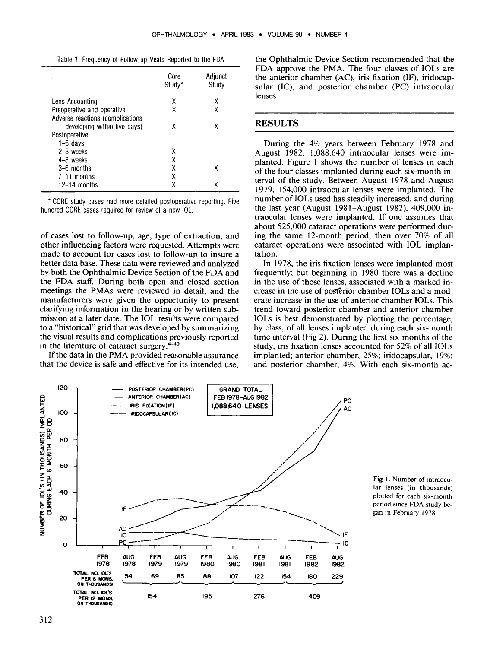Table 1. Frequency of Follow-up Visits Reported to the FDA

|                                  | Core<br>Study* | Adjunct<br>Study |
|----------------------------------|----------------|------------------|
| Lens Accounting                  | х              | χ                |
| Preoperative and operative       | χ              |                  |
| Adverse reactions (complications |                |                  |
| developing within five days)     | χ              |                  |
| Postoperative                    |                |                  |
| $1-6$ days                       |                |                  |
| $2-3$ weeks                      |                |                  |
| $4-8$ weeks                      |                |                  |
| $3-6$ months                     | χ              | χ                |
| $7-11$ months                    | χ              |                  |
| $12-14$ months                   | χ              | χ                |

• CORE study cases had more detailed postoperative reporting. Five hundred CORE cases required for review of a new IOL.

of cases lost to follow-up, age, type of extraction, and other influencing factors were requested. Attempts were made to account for cases lost to follow-up to insure a better data base. These data were reviewed and analyzed by both the Ophthalmic Device Section of the FDA and the FDA staff. During both open and closed section meetings the PMAs were reviewed in detail, and the manufacturers were given the opportunity to present clarifying information in the hearing or by written submission at a later date. The IOL results were compared to a "historical" grid that was developed by summarizing the visual results and complications previously reported in the literature of cataract surgery. $4-40$ 

If the data in the PMA provided reasonable assurance that the device is safe and effective for its intended use, the Ophthalmic Device Section recommended that the FDA approve the PMA. The four classes of IOLs are the anterior chamber (AC), iris fixation (IF), iridocapsular (IC), and posterior chamber (PC) intraocular lenses.

#### RESULTS

During the  $4\frac{1}{2}$  years between February 1978 and August 1982, 1,088,640 intraocular lenses were implanted. Figure 1 shows the number of lenses in each of the four classes implanted during each six-month interval of the study. Between August 1978 and August 1979, 154,000 intraocular lenses were implanted. The number of IOLs used has steadily increased, and during the last year (August 1981-August 1982), 409,000 intraocular lenses were implanted. If one assumes that about 525,000 cataract operations were performed during the same 12-month period, then over 70% of all cataract operations were associated with IOL implantation.

In 1978, the iris fixation lenses were implanted most frequently; but beginning in 1980 there was a decline in the use of those lenses, associated with a marked increase in the use of posterior chamber IOLs and a moderate increase in the use of anterior chamber IOLs. This trend toward posterior chamber and anterior chamber IOLs is best demonstrated by plotting the percentage, by class, of all lenses implanted during each six-month time interval (Fig 2). During the first six months of the study, iris fixation lenses accounted for 52% of all IOLs implanted; anterior chamber, 25%; iridocapsular, 19%; and posterior chamber, 4%. With each six-month ac-



Fig l. Number of intraocular lenses (in thousands) plotted for each six-month period since FDA study began in February 1978.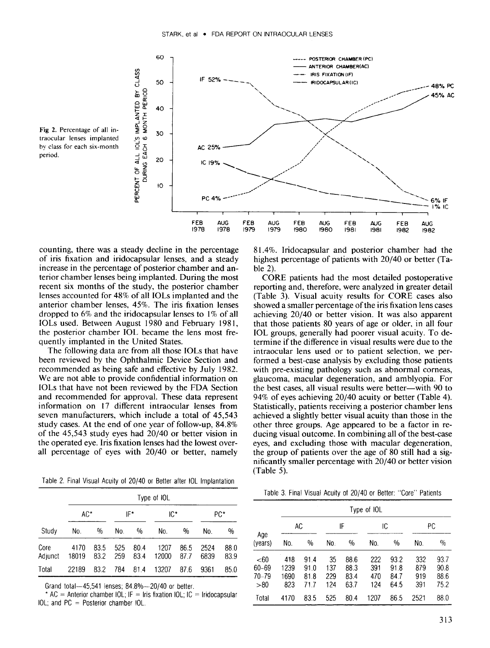

Fig 2, Percentage of all intraocular lenses implanted by class for each six-month period.

counting, there was a steady decline in the percentage of iris fixation and iridocapsular lenses, and a steady increase in the percentage of posterior chamber and anterior chamber lenses being implanted. During the most recent six months of the study, the posterior chamber lenses accounted for 48% of all IOLs implanted and the anterior chamber lenses, 45%. The iris fixation lenses dropped to 6% and the iridocapsular lenses to 1% of all IOLs used. Between August 1980 and February 1981, the posterior chamber IOL became the lens most frequently implanted in the United States.

The following data are from all those IOLs that have been reviewed by the Ophthalmic Device Section and recommended as being safe and effective by July 1982. We are not able to provide confidential information on IOLs that have not been reviewed by the FDA Section and recommended for approval. These data represent information on 17 different intraocular lenses from seven manufacturers, which include a total of 45,543 study cases. At the end of one year of follow-up, 84.8% of the 45,543 study eyes had 20/40 or better vision in the operated eye. Iris fixation lenses had the lowest overall percentage of eyes with 20/40 or better, namely

Table 2. Final Visual Acuity of 20/40 or Better after IOL Implantation

|                 |               |              |            |               | Type of IOL   |              |              |              |
|-----------------|---------------|--------------|------------|---------------|---------------|--------------|--------------|--------------|
|                 | $AC^*$        |              |            | IF*           | IC*           |              |              | PC*          |
| Study           | No.           | $\%$         | No.        | $\frac{0}{0}$ | No.           | %            | No.          | %            |
| Core<br>Adjunct | 4170<br>18019 | 83.5<br>83.2 | 525<br>259 | 80.4<br>83.4  | 1207<br>12000 | 86.5<br>87.7 | 2524<br>6839 | 88.0<br>83.9 |
| Total           | 22189         | 83.2         | 784        | 814           | 13207         | 87.6         | 9361         | 85.0         |

Grand total-45,541 lenses; 84.8%- 20/40 or better.

 $*$  AC = Anterior chamber IOL; IF = Iris fixation IOL; IC = Iridocapsular IOL; and PC = Posterior chamber IOL.

81.4%. Iridocapsular and posterior chamber had the highest percentage of patients with 20/40 or better (Table 2).

CORE patients had the most detailed postoperative reporting and, therefore, were analyzed in greater detail (Table 3). Visual acuity results for CORE cases also showed a smaller percentage of the iris fixation lens cases achieving 20/40 or better vision. It was also apparent that those patients 80 years of age or older, in all four IOL groups, generally had poorer visual acuity. To determine if the difference in visual results were due to the intraocular lens used or to patient selection, we performed a best-case analysis by excluding those patients with pre-existing pathology such as abnormal corneas. glaucoma, macular degeneration, and amblyopia. For the best cases, all visual results were better-with 90 to 94% of eyes achieving 20/40 acuity or better (Table 4). Statistically, patients receiving a posterior chamber lens achieved a slightly better visual acuity than those in the other three groups. Age appeared to be a factor in reducing visual outcome. In combining all of the best-case eyes, and excluding those with macular degeneration, the group of patients over the age of 80 still had a significantly smaller percentage with 20/40 or better vision (Table 5).

|  | Table 3. Final Visual Acuity of 20/40 or Better: "Core" Patients |  |  |  |  |  |  |  |  |
|--|------------------------------------------------------------------|--|--|--|--|--|--|--|--|
|--|------------------------------------------------------------------|--|--|--|--|--|--|--|--|

|                                |                            |                              |                         |                              | Type of IOL              |                              |                          |                              |
|--------------------------------|----------------------------|------------------------------|-------------------------|------------------------------|--------------------------|------------------------------|--------------------------|------------------------------|
|                                | AC                         |                              |                         | IF                           | IС                       |                              |                          | РC                           |
| Age<br>(years)                 | No.                        | $\frac{0}{0}$                | No.                     | $\%$                         | No.                      | $\%$                         | No.                      | $\%$                         |
| $60$<br>60–69<br>70–79<br>> 80 | 418<br>1239<br>1690<br>823 | 91.4<br>91.0<br>81.8<br>71.7 | 35<br>137<br>229<br>124 | 88.6<br>88.3<br>83.4<br>63.7 | 222<br>391<br>470<br>124 | 93.2<br>91.8<br>84.7<br>64.5 | 332<br>879<br>919<br>391 | 93.7<br>90.8<br>88.6<br>75.2 |
| Total                          | 4170                       | 83.5                         | 525                     | 80.4                         | 1207                     | 86.5                         | 2521                     | 88.0                         |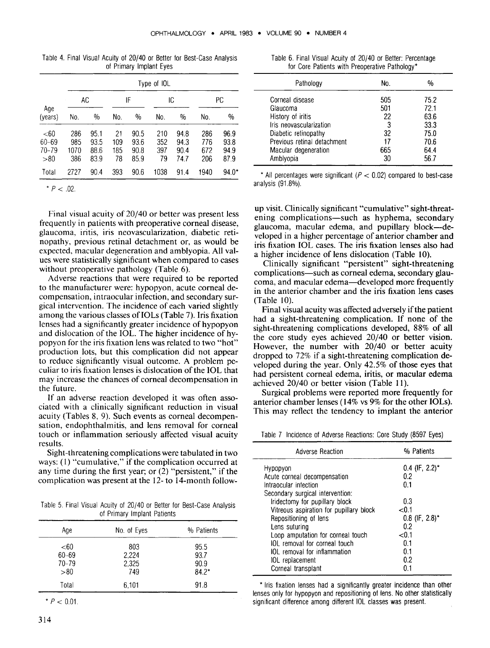| Table 4. Final Visual Acuity of 20/40 or Better for Best-Case Analysis |                         |  |  |
|------------------------------------------------------------------------|-------------------------|--|--|
|                                                                        | of Primary Implant Eyes |  |  |

|                                      |                           |                              |                        |                              | Type of IOL             |                              |                          |                              |
|--------------------------------------|---------------------------|------------------------------|------------------------|------------------------------|-------------------------|------------------------------|--------------------------|------------------------------|
|                                      | AC                        |                              |                        | IF                           | IC                      |                              |                          | РC                           |
| Age<br>(years)                       | No.                       | $\%$                         | No.                    | $\frac{0}{0}$                | No.                     | $\%$                         | No.                      | %                            |
| $<$ 60<br>60-69<br>$70 - 79$<br>> 80 | 286<br>985<br>1070<br>386 | 95.1<br>93.5<br>88.6<br>83.9 | 21<br>109<br>185<br>78 | 90.5<br>93.6<br>90.8<br>85.9 | 210<br>352<br>397<br>79 | 94.8<br>94.3<br>90.4<br>74.7 | 286<br>776<br>672<br>206 | 96.9<br>93.8<br>94.9<br>87.9 |
| Total                                | 2727                      | 90.4                         | 393                    | 90.6                         | 1038                    | 91.4                         | 1940                     | $94.0*$                      |

 $\geq$  *02.* 

Final visual acuity of 20/40 or better was present less frequently in patients with preoperative corneal disease, glaucoma, iritis, iris neovascularization, diabetic retinopathy, previous retinal detachment or, as would be expected, macular degeneration and amblyopia. All values were statistically significant when compared to cases without preoperative pathology (Table 6).

Adverse reactions that were required to be reported to the manufacturer were: hypopyon, acute corneal decompensation, intraocular infection, and secondary surgical intervention. The incidence of each varied slightly among the various classes of IOLs (Table 7). Iris fixation lenses had a significantly greater incidence of hypopyon and dislocation of the IOL. The higher incidence of hypopyon for the iris fixation lens was related to two "hot" production lots, but this complication did not appear to reduce significantly visual outcome. A problem peculiar to iris fixation lenses is dislocation of the IOL that may increase the chances of corneal decompensation in the future.

If an adverse reaction developed it was often associated with a clinically significant reduction in visual acuity (Tables 8, 9). Such events as corneal decompensation, endophthalmitis, and lens removal for corneal touch or inflammation seriously affected visual acuity results.

Sight-threatening complications were tabulated in two ways: (1) "cumulative," if the complication occurred at any time during the first year; or (2) "persistent," if the complication was present at the 12- to 14-month follow-

Table 5. Final Visual Acuity of 20/40 or Better for Best-Case Analysis of Primary Implant Patients

| Aqe       | No. of Eyes | % Patients |
|-----------|-------------|------------|
| < 60      | 803         | 95.5       |
| $60 - 69$ | 2,224       | 93.7       |
| $70 - 79$ | 2,325       | 90.9       |
| >80       | 749         | $84.2*$    |
| Total     | 6,101       | 91.8       |

 $*$  *P* < 0.01.

|  |  |  |  | Table 6. Final Visual Acuity of 20/40 or Better: Percentage |  |
|--|--|--|--|-------------------------------------------------------------|--|
|  |  |  |  | for Core Patients with Preoperative Pathology*              |  |

| Pathology                   | No. | %    |
|-----------------------------|-----|------|
| Corneal disease             | 505 | 75.2 |
| Glaucoma                    | 501 | 72.1 |
| History of iritis           | 22  | 63.6 |
| Iris neovascularization     | 3   | 33.3 |
| Diabetic retinopathy        | 32  | 75.0 |
| Previous retinal detachment | 17  | 70.6 |
| Macular degeneration        | 665 | 64.4 |
| Amblyopia                   | 30  | 56.7 |

\* All percentages were significant  $(P < 0.02)$  compared to best-case analysis (91.8%).

up visit. Clinically significant "cumulative" sight-threatening complications—such as hyphema, secondary glaucoma, macular edema, and pupillary block-developed in a higher percentage of anterior chamber and iris fixation IOL cases. The iris fixation lenses also had a higher incidence of lens dislocation (Table 10).

Clinically significant "persistent" sight-threatening complications-such as corneal edema, secondary glaucoma, and macular edema-developed more frequently in the anterior chamber and the iris fixation lens cases (Table 10).

Final visual acuity was affected adversely if the patient had a sight-threatening complication. If none of the sight-threatening complications developed,  $88\%$  of all the core study eyes achieved  $20/40$  or better vision. However, the number with 20/40 or better acuity dropped to 72% if a sight-threatening complication developed during the year. Only 42.5% of those eyes that had persistent corneal edema, iritis, or macular edema achieved 20/40 or better vision (Table 11).

Surgical problems were reported more frequently for anterior chamber lenses (14% vs 9% for the other IOLs). This may reflect the tendency to implant the anterior

Table 7 Incidence of Adverse Reactions: Core Study (8597 Eyes)

| <b>Adverse Reaction</b>                                                                                                                                                               | % Patients                                                   |
|---------------------------------------------------------------------------------------------------------------------------------------------------------------------------------------|--------------------------------------------------------------|
| Hypopyon<br>Acute corneal decompensation<br>Intraocular infection<br>Secondary surgical intervention:<br>Iridectomy for pupillary block<br>Vitreous aspiration for pupillary block    | $0.4$ (IF, 2.2)*<br>0.2<br>0.1<br>0.3<br>${<}0.1$            |
| Repositioning of lens<br>Lens suturing<br>Loop amputation for corneal touch<br>IOL removal for corneal touch<br>IOL removal for inflammation<br>IOL replacement<br>Corneal transplant | $0.8$ (IF, 2.8)*<br>0.2<br>< 0.1<br>0.1<br>0.1<br>0.2<br>n 1 |

\* Iris fixation lenses had a Significantly greater incidence than other lenses only for hypopyon and repositioning of lens. No other statistically significant difference among different IOL classes was present.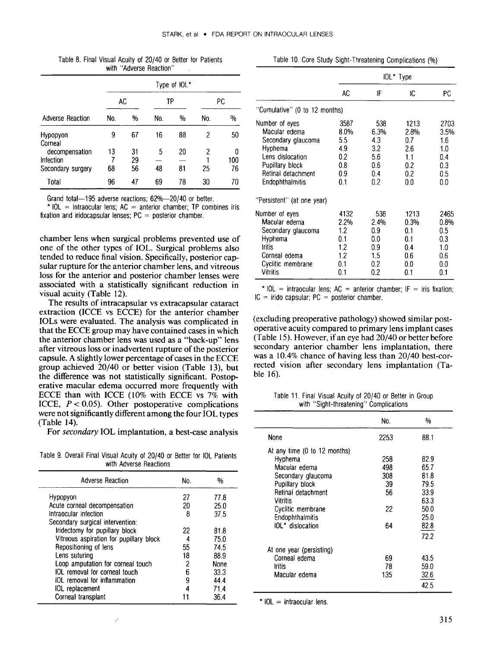|  | Table 8. Final Visual Acuity of 20/40 or Better for Patients |  |
|--|--------------------------------------------------------------|--|
|  | with "Adverse Reaction"                                      |  |

|                             |         |          |     | Type of IOL* |     |     |
|-----------------------------|---------|----------|-----|--------------|-----|-----|
|                             | AC      |          | TP  |              |     | РC  |
| Adverse Reaction            | No.     | %        | No. | %            | No. | %   |
| Hypopyon<br>Corneal         | 9       | 67       | 16  | 88           | 2   | 50  |
| decompensation<br>Infection | 13<br>7 | 31<br>29 | 5   | 20           | 2   | 100 |
| Secondary surgery           | 68      | 56       | 48  | 81           | 25  | 76  |
| Total                       | 96      | 47       | 69  | 78           | 30  | 70  |

Grand total-195 adverse reactions; 62%-20/40 or better.

 $*$  IOL = intraocular lens; AC = anterior chamber; TP combines iris fixation and iridocapsular lenses;  $PC = posterior$  chamber.

chamber lens when surgical problems prevented use of one of the other types of IOL. Surgical problems also tended to reduce final vision. Specifically, posterior capsular rupture for the anterior chamber lens, and vitreous loss for the anterior and posterior chamber lenses were associated with a statistically significant reduction in visual acuity (Table 12).

The results of intracapsular vs extracapsular cataract extraction (ICCE vs ECCE) for the anterior chamber IOLs were evaluated. The analysis was complicated in that the ECCE group may have contained cases in which the anterior chamber lens was used as a "back-up" lens after vitreous loss or inadvertent rupture of the posterior capsule. A slightly lower percentage of cases in the ECCE group achieved 20/40 or better vision (Table 13), but the difference was not statistically significant. Postoperative macular edema occurred more frequently with ECCE than with ICCE (10% with ECCE vs 7% with ICCE,  $P < 0.05$ ). Other postoperative complications were not significantly different among the four IOL types (Table 14).

For *secondary* IOL implantation, a best-case analysis

Table 9. Overall Final Visual Acuity of 20/40 or Better for IOL Patients with Adverse Reactions

| Adverse Reaction                        | No. | %    |
|-----------------------------------------|-----|------|
| Hypopyon                                | 27  | 77.8 |
| Acute corneal decompensation            | 20  | 25.0 |
| Intraocular infection                   | 8   | 37.5 |
| Secondary surgical intervention:        |     |      |
| Iridectomy for pupillary block          | 22  | 81.8 |
| Vitreous aspiration for pupillary block | 4   | 75.0 |
| Repositioning of lens                   | 55  | 74.5 |
| Lens suturing                           | 18  | 88.9 |
| Loop amputation for corneal touch       | 2   | None |
| IOL removal for corneal touch           | 6   | 33.3 |
| IOL removal for inflammation            | 9   | 4444 |
| IOL replacement                         |     | 714  |
| Corneal transplant                      |     | 36.4 |

|                                                                                                                                                  | IOL* Type                                              |                                                       |                                                        |                                                        |  |
|--------------------------------------------------------------------------------------------------------------------------------------------------|--------------------------------------------------------|-------------------------------------------------------|--------------------------------------------------------|--------------------------------------------------------|--|
|                                                                                                                                                  | AC                                                     | IF                                                    | IC                                                     | PС                                                     |  |
| "Cumulative" (0 to 12 months)                                                                                                                    |                                                        |                                                       |                                                        |                                                        |  |
| Number of eyes<br>Macular edema<br>Secondary glaucoma<br>Hyphema<br>Lens dislocation<br>Pupillary block<br>Retinal detachment<br>Endophthalmitis | 3587<br>8.0%<br>5.5<br>4.9<br>0.2<br>0.8<br>0.9<br>0.1 | 538<br>6.3%<br>4.3<br>3.2<br>5.6<br>0.6<br>0.4<br>0.2 | 1213<br>2.8%<br>0.7<br>2.6<br>1.1<br>0.2<br>0.2<br>0.0 | 2703<br>3.5%<br>1.6<br>1.0<br>0.4<br>0.3<br>0.5<br>0.0 |  |
| "Persistent" (at one year)                                                                                                                       |                                                        |                                                       |                                                        |                                                        |  |
| Number of eyes<br>Macular edema<br>Secondary glaucoma<br>Hyphema<br><b>Iritis</b><br>Corneal edema<br>Cyclitic membrane<br><b>Vitritis</b>       | 4132<br>2.2%<br>1.2<br>0.1<br>1.2<br>1.2<br>0.1<br>0.1 | 538<br>2.4%<br>0.9<br>0.0<br>0.9<br>1.5<br>0.2<br>0.2 | 1213<br>0.3%<br>0.1<br>0.1<br>0.4<br>0.6<br>0.0<br>0.1 | 2465<br>0.8%<br>0.5<br>0.3<br>1.0<br>0.6<br>0.0<br>0.1 |  |

\* IOL = intraocular lens;  $AC =$  anterior chamber; IF = iris fixation;  $IC =$  irido capsular:  $PC =$  posterior chamber.

(excluding preoperative pathology) showed similar postoperative acuity compared to primary lens implant cases (Table 15). However, if an eye had 20/40 or better before secondary anterior chamber lens implantation, there was a 10.4% chance of having less than 20/40 best-corrected vision after secondary lens implantation (Table 16).

Table 11. Final Visual Acuity of 20/40 or Better in Group with "Sight-threatening" Complications

|                              | No.  | %    |
|------------------------------|------|------|
| None                         | 2253 | 88.1 |
| At any time (0 to 12 months) |      |      |
| Hyphema                      | 258  | 82.9 |
| Macular edema                | 498  | 65.7 |
| Secondary glaucoma           | 308  | 81.8 |
| Pupillary block              | 39   | 79.5 |
| Retinal detachment           | 56   | 33.9 |
| Vitritis                     |      | 63.3 |
| Cyclitic membrane            | 22   | 50.0 |
| Endophthalmitis              |      | 25.0 |
| IOL <sup>*</sup> dislocation | 64   | 82.8 |
|                              |      | 72.2 |
| At one year (persisting)     |      |      |
| Corneal edema                | 69   | 43.5 |
| <b>Iritis</b>                | 78   | 59.0 |
| Macular edema                | 135  | 32.6 |
|                              |      | 42.5 |

 $*$  IOL = intraocular lens.

Table 10. Core Study Sight-Threatening Complications (%)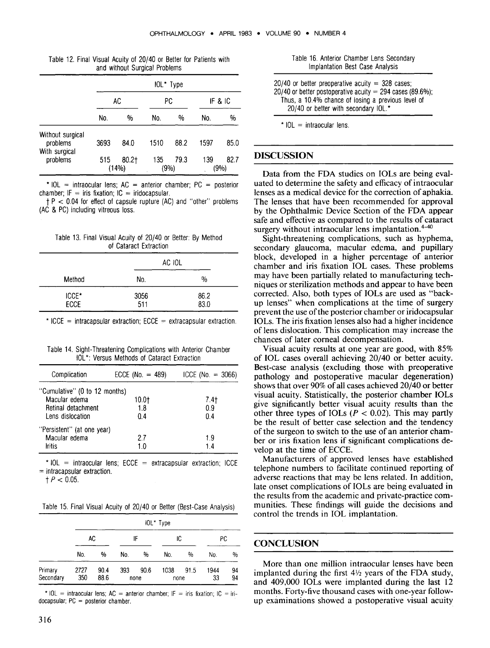|                                               | IOL* Type |                   |             |      |         |              |  |  |
|-----------------------------------------------|-----------|-------------------|-------------|------|---------|--------------|--|--|
|                                               | AC        |                   | РC          |      | IF & IC |              |  |  |
|                                               | No.       | %                 | No.         | %    | No.     | %            |  |  |
| Without surgical<br>problems<br>With surgical | 3693      | 84.0              | 1510        | 88.2 | 1597    | 85.0         |  |  |
| problems                                      | 515       | $80.2 +$<br>(14%) | 135<br>(9%) | 79.3 | 139     | 82.7<br>(9%) |  |  |

Table 12. Final Visual Acuity of 20/40 or Better for Patients with and without Surgical Problems

\* IOL = intraocular lens;  $AC =$  anterior chamber;  $PC =$  posterior chamber;  $IF = iris fixation$ : IC = iridocapsular.

 $t P < 0.04$  for effect of capsule rupture (AC) and "other" problems (AC & PC) including vitreous loss.

|  |  |                        |  |  | Table 13. Final Visual Acuity of 20/40 or Better: By Method |
|--|--|------------------------|--|--|-------------------------------------------------------------|
|  |  | of Cataract Extraction |  |  |                                                             |

|                      | AC IOL      |               |
|----------------------|-------------|---------------|
| Method               | No.         | $\frac{0}{0}$ |
| ICCE*<br><b>ECCE</b> | 3056<br>511 | 86.2<br>83.0  |

\* ICCE = intracapsular extraction;  $ECE =$  extracapsular extraction.

Table 14. Sight-Threatening Complications with Anterior Chamber IOL': Versus Methods of Cataract Extraction

| Complication                  | ECCE (No. $= 489$ ) | $ICCE (No. = 3066)$ |
|-------------------------------|---------------------|---------------------|
| "Cumulative" (0 to 12 months) |                     |                     |
| Macular edema                 | 10.0†               | 7.4†                |
| Retinal detachment            | 1.8                 | 0.9                 |
| Lens dislocation              | 0.4                 | 0.4                 |
| "Persistent" (at one year)    |                     |                     |
| Macular edema                 | 27                  | 1.9                 |
| <b>Iritis</b>                 | 1.0                 | 14                  |
|                               |                     |                     |

 $*$  IOL = intraocular lens; ECCE = extracapsular extraction; ICCE  $=$  intracapsular extraction.

 $t$  *P* < 0.05.

Table 15. Final Visual Acuity of 20/40 or Better (Best-Case Analysis)

|                      | IOL* Type   |              |          |              |              |               |            |          |
|----------------------|-------------|--------------|----------|--------------|--------------|---------------|------------|----------|
|                      | AC          |              | IF<br>IС |              |              | РC            |            |          |
|                      | No.         | %            | No.      | %            | No.          | $\frac{0}{0}$ | No.        | $\%$     |
| Primary<br>Secondary | 2727<br>350 | 90.4<br>88.6 | 393      | 90.6<br>none | 1038<br>none | 91.5          | 1944<br>33 | 94<br>94 |

\*  $10L$  = intraocular lens; AC = anterior chamber; IF = iris fixation; IC = iridocapsular;  $PC = posterior chamber$ .

 $20/40$  or better preoperative acuity = 328 cases; 20/40 or better postoperative acuity  $= 294$  cases (89.6%); Thus, a 10.4% chance of losing a previous level of 20/40 or better with secondary IOL.\*

 $*$  IOL = intraocular lens.

### **DISCUSSION**

Data from the FDA studies on IOLs are being evaluated to determine the safety and efficacy of intraocular lenses as a medical device for the correction of aphakia. The lenses that have been recommended for approval by the Ophthalmic Device Section of the FDA appear safe and effective as compared to the results of cataract surgery without intraocular lens implantation.<sup>4-40</sup>

Sight-threatening complications, such as hyphema, secondary glaucoma, macular edema, and pupillary block, developed in a higher percentage of anterior chamber and iris fixation IOL cases. These problems may have been partially related to manufacturing techniques or sterilization methods and appear to have been corrected. Also, both types of IOLs are used as "backup lenses" when complications at the time of surgery prevent the use of the posterior chamber or iridocapsular IOLs. The iris fixation lenses also had a higher incidence of lens dislocation. This complication may increase the chances of later corneal decompensation.

Visual acuity results at one year are good, with 85% of IOL cases overall achieving 20/40 or better acuity. Best-case analysis (excluding those with preoperative pathology and postoperative macular degeneration) shows that over 90% of all cases achieved 20/40 or better visual acuity. Statistically, the posterior chamber IOLs give significantly better visual acuity results than the other three types of IOLs  $(P < 0.02)$ . This may partly be the result of better case selection and the tendency of the surgeon to switch to the use of an anterior chamber or iris fixation lens if significant complications develop at the time of ECCE.

Manufacturers of approved lenses have established telephone numbers to facilitate continued reporting of adverse reactions that may be lens related. In addition, late onset complications of IOLs are being evaluated in the results from the academic and private-practice communities. These findings will guide the decisions and control the trends in IOL implantation.

#### **CONCLUSION**

More than one million intraocular lenses have been implanted during the first  $4\frac{1}{2}$  years of the FDA study, and 409,000 IOLs were implanted during the last 12 months. Forty-five thousand cases with one-year followup examinations showed a postoperative visual acuity